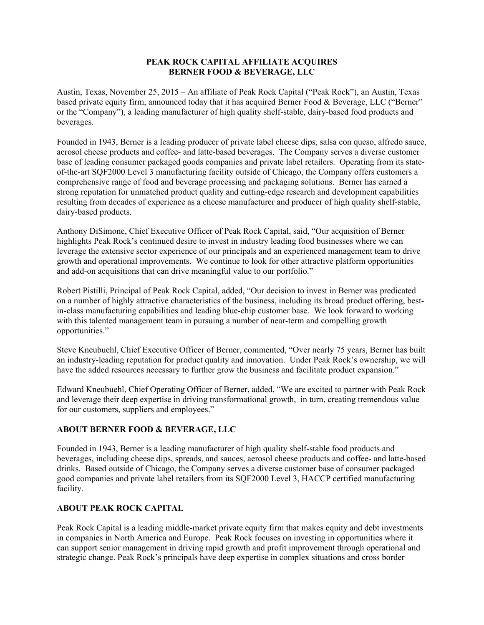## **PEAK ROCK CAPITAL AFFILIATE ACQUIRES BERNER FOOD & BEVERAGE, LLC**

Austin, Texas, November 25, 2015 – An affiliate of Peak Rock Capital ("Peak Rock"), an Austin, Texas based private equity firm, announced today that it has acquired Berner Food & Beverage, LLC ("Berner" or the "Company"), a leading manufacturer of high quality shelf-stable, dairy-based food products and beverages.

Founded in 1943, Berner is a leading producer of private label cheese dips, salsa con queso, alfredo sauce, aerosol cheese products and coffee- and latte-based beverages. The Company serves a diverse customer base of leading consumer packaged goods companies and private label retailers. Operating from its stateof-the-art SQF2000 Level 3 manufacturing facility outside of Chicago, the Company offers customers a comprehensive range of food and beverage processing and packaging solutions. Berner has earned a strong reputation for unmatched product quality and cutting-edge research and development capabilities resulting from decades of experience as a cheese manufacturer and producer of high quality shelf-stable, dairy-based products.

Anthony DiSimone, Chief Executive Officer of Peak Rock Capital, said, "Our acquisition of Berner highlights Peak Rock's continued desire to invest in industry leading food businesses where we can leverage the extensive sector experience of our principals and an experienced management team to drive growth and operational improvements. We continue to look for other attractive platform opportunities and add-on acquisitions that can drive meaningful value to our portfolio."

Robert Pistilli, Principal of Peak Rock Capital, added, "Our decision to invest in Berner was predicated on a number of highly attractive characteristics of the business, including its broad product offering, bestin-class manufacturing capabilities and leading blue-chip customer base. We look forward to working with this talented management team in pursuing a number of near-term and compelling growth opportunities."

Steve Kneubuehl, Chief Executive Officer of Berner, commented, "Over nearly 75 years, Berner has built an industry-leading reputation for product quality and innovation. Under Peak Rock's ownership, we will have the added resources necessary to further grow the business and facilitate product expansion."

Edward Kneubuehl, Chief Operating Officer of Berner, added, "We are excited to partner with Peak Rock and leverage their deep expertise in driving transformational growth, in turn, creating tremendous value for our customers, suppliers and employees."

## **ABOUT BERNER FOOD & BEVERAGE, LLC**

Founded in 1943, Berner is a leading manufacturer of high quality shelf-stable food products and beverages, including cheese dips, spreads, and sauces, aerosol cheese products and coffee- and latte-based drinks. Based outside of Chicago, the Company serves a diverse customer base of consumer packaged good companies and private label retailers from its SQF2000 Level 3, HACCP certified manufacturing facility.

## **ABOUT PEAK ROCK CAPITAL**

Peak Rock Capital is a leading middle-market private equity firm that makes equity and debt investments in companies in North America and Europe. Peak Rock focuses on investing in opportunities where it can support senior management in driving rapid growth and profit improvement through operational and strategic change. Peak Rock's principals have deep expertise in complex situations and cross border